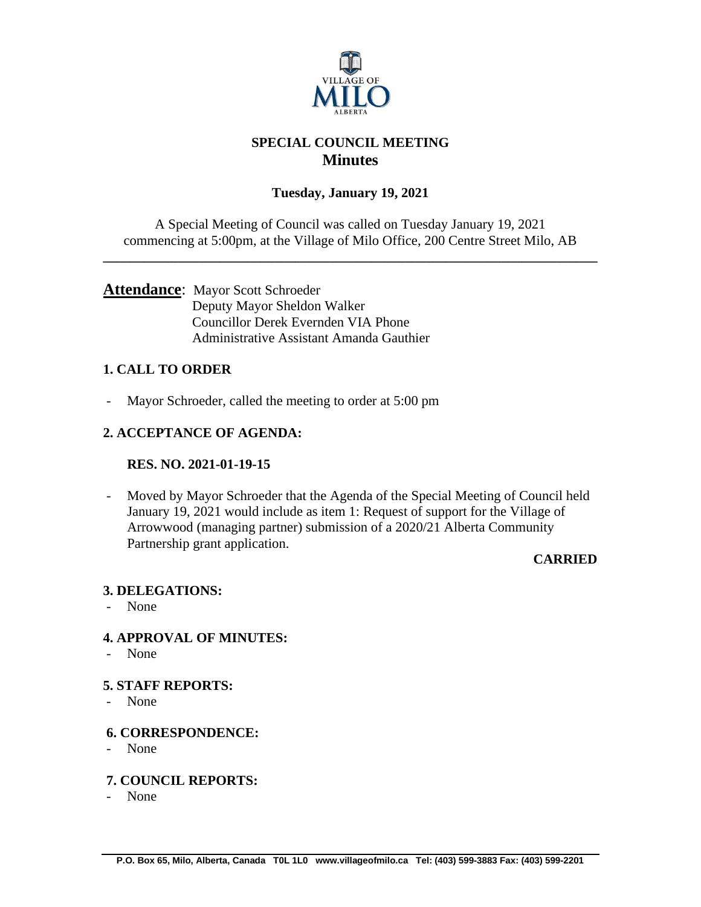

# **SPECIAL COUNCIL MEETING Minutes**

# **Tuesday, January 19, 2021**

A Special Meeting of Council was called on Tuesday January 19, 2021 commencing at 5:00pm, at the Village of Milo Office, 200 Centre Street Milo, AB

**\_\_\_\_\_\_\_\_\_\_\_\_\_\_\_\_\_\_\_\_\_\_\_\_\_\_\_\_\_\_\_\_\_\_\_\_\_\_\_\_\_\_\_\_\_\_\_\_\_\_\_\_\_\_\_\_\_\_\_\_\_\_\_\_\_\_\_\_\_\_\_\_**

### **Attendance**: Mayor Scott Schroeder Deputy Mayor Sheldon Walker Councillor Derek Evernden VIA Phone Administrative Assistant Amanda Gauthier

# **1. CALL TO ORDER**

- Mayor Schroeder, called the meeting to order at 5:00 pm

# **2. ACCEPTANCE OF AGENDA:**

#### **RES. NO. 2021-01-19-15**

- Moved by Mayor Schroeder that the Agenda of the Special Meeting of Council held January 19, 2021 would include as item 1: Request of support for the Village of Arrowwood (managing partner) submission of a 2020/21 Alberta Community Partnership grant application.

#### **CARRIED**

#### **3. DELEGATIONS:**

- None

## **4. APPROVAL OF MINUTES:**

- None

#### **5. STAFF REPORTS:**

- None

## **6. CORRESPONDENCE:**

- None

#### **7. COUNCIL REPORTS:**

- None